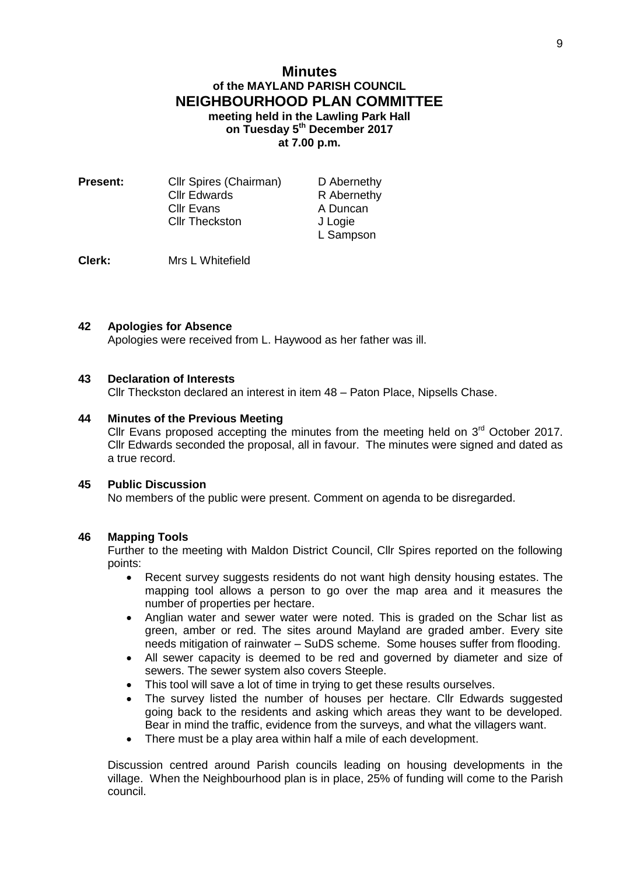## **Minutes of the MAYLAND PARISH COUNCIL NEIGHBOURHOOD PLAN COMMITTEE meeting held in the Lawling Park Hall on Tuesday 5 th December 2017 at 7.00 p.m.**

| Present: | Cllr Spires (Chairman) | D Abernethy |
|----------|------------------------|-------------|
|          | <b>Cllr Edwards</b>    | R Abernethy |
|          | <b>CIIr Evans</b>      | A Duncan    |
|          | <b>Cllr Theckston</b>  | J Logie     |
|          |                        | L Sampson   |

**Clerk:** Mrs L Whitefield

## **42 Apologies for Absence**

Apologies were received from L. Haywood as her father was ill.

### **43 Declaration of Interests**

Cllr Theckston declared an interest in item 48 – Paton Place, Nipsells Chase.

### **44 Minutes of the Previous Meeting**

Cllr Evans proposed accepting the minutes from the meeting held on  $3<sup>rd</sup>$  October 2017. Cllr Edwards seconded the proposal, all in favour. The minutes were signed and dated as a true record.

### **45 Public Discussion**

No members of the public were present. Comment on agenda to be disregarded.

### **46 Mapping Tools**

Further to the meeting with Maldon District Council, Cllr Spires reported on the following points:

- Recent survey suggests residents do not want high density housing estates. The mapping tool allows a person to go over the map area and it measures the number of properties per hectare.
- Anglian water and sewer water were noted. This is graded on the Schar list as green, amber or red. The sites around Mayland are graded amber. Every site needs mitigation of rainwater – SuDS scheme. Some houses suffer from flooding.
- All sewer capacity is deemed to be red and governed by diameter and size of sewers. The sewer system also covers Steeple.
- This tool will save a lot of time in trying to get these results ourselves.
- The survey listed the number of houses per hectare. Cllr Edwards suggested going back to the residents and asking which areas they want to be developed. Bear in mind the traffic, evidence from the surveys, and what the villagers want.
- There must be a play area within half a mile of each development.

Discussion centred around Parish councils leading on housing developments in the village. When the Neighbourhood plan is in place, 25% of funding will come to the Parish council.